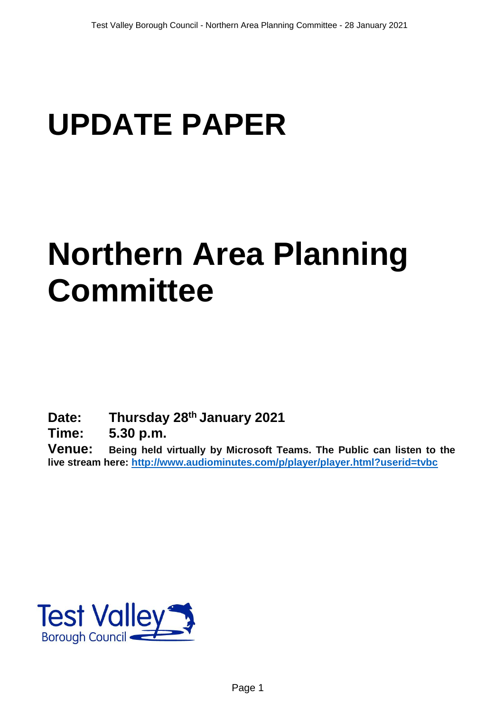# **UPDATE PAPER**

## **Northern Area Planning Committee**

**Date: Thursday 28th January 2021**

**Time: 5.30 p.m.**

**Venue: Being held virtually by Microsoft Teams. The Public can listen to the live stream here:<http://www.audiominutes.com/p/player/player.html?userid=tvbc>**

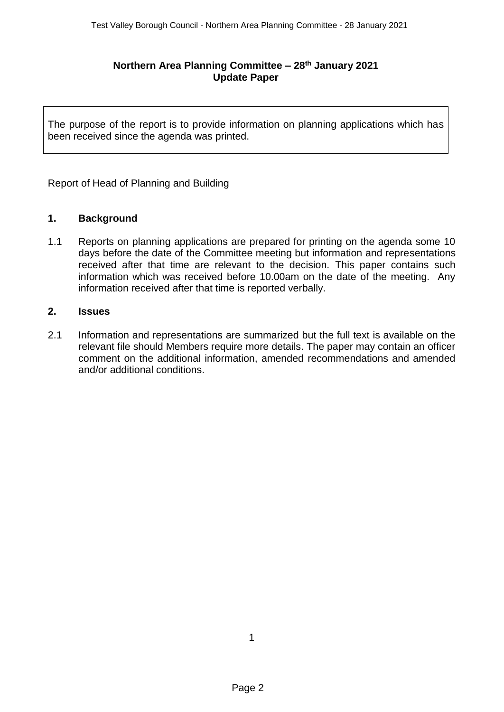## **Northern Area Planning Committee – 28th January 2021 Update Paper**

The purpose of the report is to provide information on planning applications which has been received since the agenda was printed.

Report of Head of Planning and Building

## **1. Background**

1.1 Reports on planning applications are prepared for printing on the agenda some 10 days before the date of the Committee meeting but information and representations received after that time are relevant to the decision. This paper contains such information which was received before 10.00am on the date of the meeting. Any information received after that time is reported verbally.

## **2. Issues**

2.1 Information and representations are summarized but the full text is available on the relevant file should Members require more details. The paper may contain an officer comment on the additional information, amended recommendations and amended and/or additional conditions.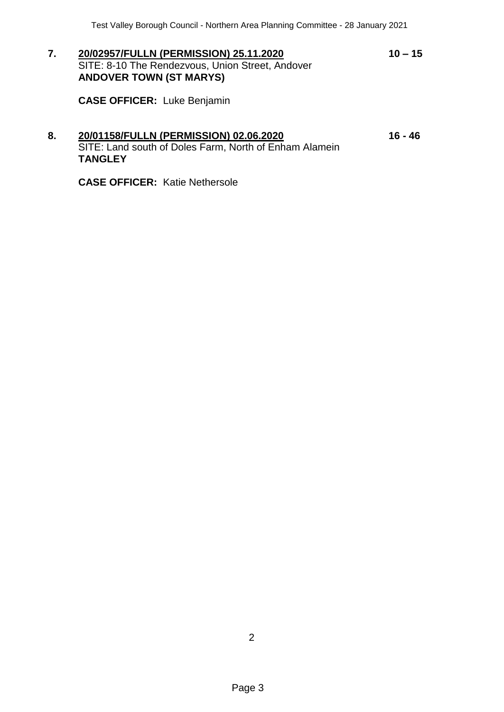**7. 20/02957/FULLN (PERMISSION) 25.11.2020 10 – 15** SITE: 8-10 The Rendezvous, Union Street, Andover **ANDOVER TOWN (ST MARYS)**

**CASE OFFICER:** Luke Benjamin

**TANGLEY**

## **8. 20/01158/FULLN (PERMISSION) 02.06.2020 16 - 46** SITE: Land south of Doles Farm, North of Enham Alamein

**CASE OFFICER:** Katie Nethersole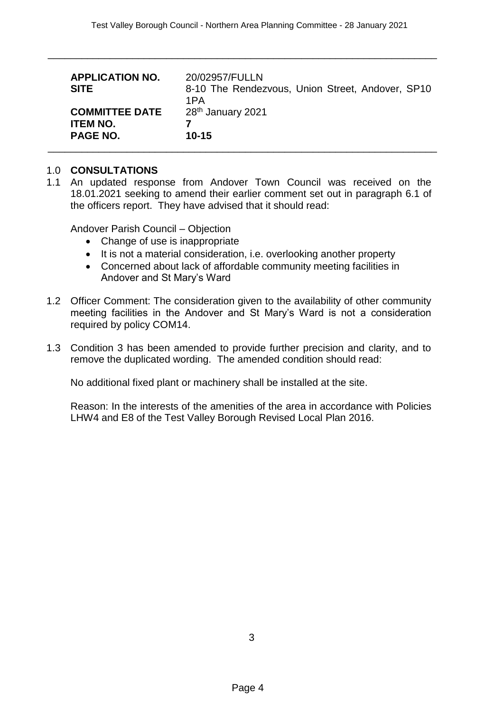\_\_\_\_\_\_\_\_\_\_\_\_\_\_\_\_\_\_\_\_\_\_\_\_\_\_\_\_\_\_\_\_\_\_\_\_\_\_\_\_\_\_\_\_\_\_\_\_\_\_\_\_\_\_\_\_\_\_\_\_\_\_\_\_\_\_\_\_\_

| <b>APPLICATION NO.</b><br><b>SITE</b>                       | 20/02957/FULLN<br>8-10 The Rendezvous, Union Street, Andover, SP10<br>1PA |
|-------------------------------------------------------------|---------------------------------------------------------------------------|
| <b>COMMITTEE DATE</b><br><b>ITEM NO.</b><br><b>PAGE NO.</b> | 28 <sup>th</sup> January 2021<br>$10 - 15$                                |
|                                                             |                                                                           |

## 1.0 **CONSULTATIONS**

1.1 An updated response from Andover Town Council was received on the 18.01.2021 seeking to amend their earlier comment set out in paragraph 6.1 of the officers report. They have advised that it should read:

Andover Parish Council – Objection

- Change of use is inappropriate
- It is not a material consideration, i.e. overlooking another property
- Concerned about lack of affordable community meeting facilities in Andover and St Mary's Ward
- 1.2 Officer Comment: The consideration given to the availability of other community meeting facilities in the Andover and St Mary's Ward is not a consideration required by policy COM14.
- 1.3 Condition 3 has been amended to provide further precision and clarity, and to remove the duplicated wording. The amended condition should read:

No additional fixed plant or machinery shall be installed at the site.

Reason: In the interests of the amenities of the area in accordance with Policies LHW4 and E8 of the Test Valley Borough Revised Local Plan 2016.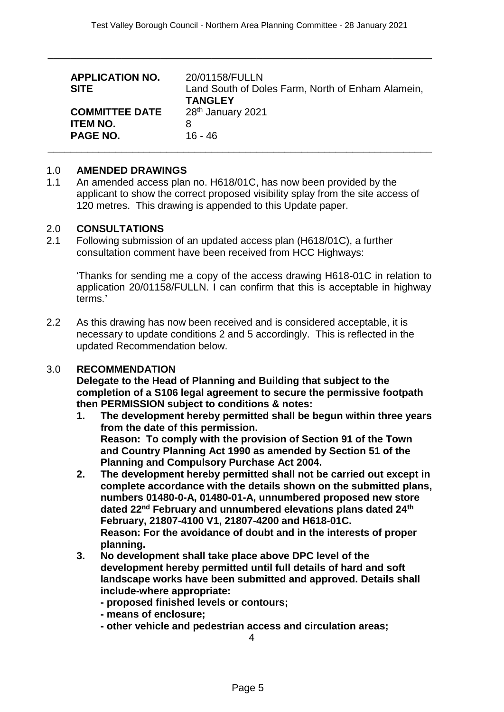\_\_\_\_\_\_\_\_\_\_\_\_\_\_\_\_\_\_\_\_\_\_\_\_\_\_\_\_\_\_\_\_\_\_\_\_\_\_\_\_\_\_\_\_\_\_\_\_\_\_\_\_\_\_\_\_\_\_\_\_\_\_\_\_\_\_\_\_

| <b>APPLICATION NO.</b><br><b>SITE</b> | 20/01158/FULLN<br>Land South of Doles Farm, North of Enham Alamein,<br><b>TANGLEY</b> |
|---------------------------------------|---------------------------------------------------------------------------------------|
| <b>COMMITTEE DATE</b>                 | 28 <sup>th</sup> January 2021                                                         |
| <b>ITEM NO.</b>                       | 8                                                                                     |
| <b>PAGE NO.</b>                       | 16 - 46                                                                               |
|                                       |                                                                                       |

#### 1.0 **AMENDED DRAWINGS**

1.1 An amended access plan no. H618/01C, has now been provided by the applicant to show the correct proposed visibility splay from the site access of 120 metres. This drawing is appended to this Update paper.

#### 2.0 **CONSULTATIONS**

2.1 Following submission of an updated access plan (H618/01C), a further consultation comment have been received from HCC Highways:

'Thanks for sending me a copy of the access drawing H618-01C in relation to application 20/01158/FULLN. I can confirm that this is acceptable in highway terms.'

2.2 As this drawing has now been received and is considered acceptable, it is necessary to update conditions 2 and 5 accordingly. This is reflected in the updated Recommendation below.

#### 3.0 **RECOMMENDATION**

**Delegate to the Head of Planning and Building that subject to the completion of a S106 legal agreement to secure the permissive footpath then PERMISSION subject to conditions & notes:**

- **1. The development hereby permitted shall be begun within three years from the date of this permission. Reason: To comply with the provision of Section 91 of the Town and Country Planning Act 1990 as amended by Section 51 of the Planning and Compulsory Purchase Act 2004.**
- **2. The development hereby permitted shall not be carried out except in complete accordance with the details shown on the submitted plans, numbers 01480-0-A, 01480-01-A, unnumbered proposed new store dated 22nd February and unnumbered elevations plans dated 24th February, 21807-4100 V1, 21807-4200 and H618-01C. Reason: For the avoidance of doubt and in the interests of proper planning.**
- **3. No development shall take place above DPC level of the development hereby permitted until full details of hard and soft landscape works have been submitted and approved. Details shall include-where appropriate:**

**- proposed finished levels or contours;** 

- **- means of enclosure;**
- **- other vehicle and pedestrian access and circulation areas;**

4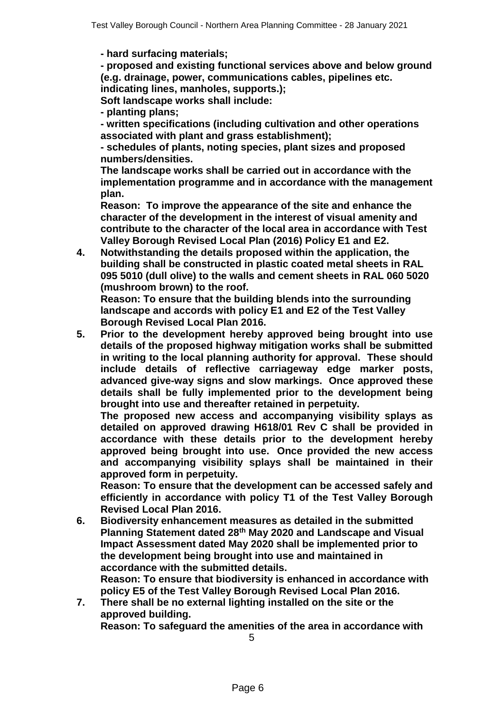**- hard surfacing materials;** 

**- proposed and existing functional services above and below ground (e.g. drainage, power, communications cables, pipelines etc. indicating lines, manholes, supports.);** 

**Soft landscape works shall include:**

**- planting plans;** 

**- written specifications (including cultivation and other operations associated with plant and grass establishment);**

**- schedules of plants, noting species, plant sizes and proposed numbers/densities.**

**The landscape works shall be carried out in accordance with the implementation programme and in accordance with the management plan.**

**Reason: To improve the appearance of the site and enhance the character of the development in the interest of visual amenity and contribute to the character of the local area in accordance with Test Valley Borough Revised Local Plan (2016) Policy E1 and E2.**

**4. Notwithstanding the details proposed within the application, the building shall be constructed in plastic coated metal sheets in RAL 095 5010 (dull olive) to the walls and cement sheets in RAL 060 5020 (mushroom brown) to the roof.**

**Reason: To ensure that the building blends into the surrounding landscape and accords with policy E1 and E2 of the Test Valley Borough Revised Local Plan 2016.**

**5. Prior to the development hereby approved being brought into use details of the proposed highway mitigation works shall be submitted in writing to the local planning authority for approval. These should include details of reflective carriageway edge marker posts, advanced give-way signs and slow markings. Once approved these details shall be fully implemented prior to the development being brought into use and thereafter retained in perpetuity.** 

**The proposed new access and accompanying visibility splays as detailed on approved drawing H618/01 Rev C shall be provided in accordance with these details prior to the development hereby approved being brought into use. Once provided the new access and accompanying visibility splays shall be maintained in their approved form in perpetuity.**

**Reason: To ensure that the development can be accessed safely and efficiently in accordance with policy T1 of the Test Valley Borough Revised Local Plan 2016.**

**6. Biodiversity enhancement measures as detailed in the submitted Planning Statement dated 28th May 2020 and Landscape and Visual Impact Assessment dated May 2020 shall be implemented prior to the development being brought into use and maintained in accordance with the submitted details.**

**Reason: To ensure that biodiversity is enhanced in accordance with policy E5 of the Test Valley Borough Revised Local Plan 2016.**

**7. There shall be no external lighting installed on the site or the approved building.**

**Reason: To safeguard the amenities of the area in accordance with** 

5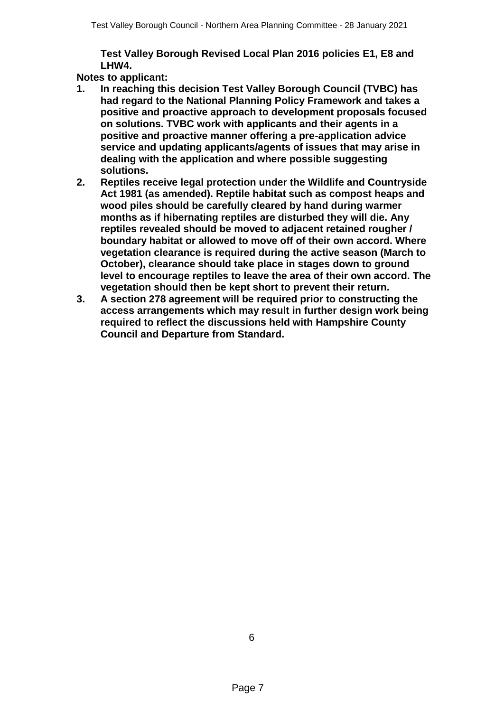**Test Valley Borough Revised Local Plan 2016 policies E1, E8 and LHW4.**

**Notes to applicant:**

- **1. In reaching this decision Test Valley Borough Council (TVBC) has had regard to the National Planning Policy Framework and takes a positive and proactive approach to development proposals focused on solutions. TVBC work with applicants and their agents in a positive and proactive manner offering a pre-application advice service and updating applicants/agents of issues that may arise in dealing with the application and where possible suggesting solutions.**
- **2. Reptiles receive legal protection under the Wildlife and Countryside Act 1981 (as amended). Reptile habitat such as compost heaps and wood piles should be carefully cleared by hand during warmer months as if hibernating reptiles are disturbed they will die. Any reptiles revealed should be moved to adjacent retained rougher / boundary habitat or allowed to move off of their own accord. Where vegetation clearance is required during the active season (March to October), clearance should take place in stages down to ground level to encourage reptiles to leave the area of their own accord. The vegetation should then be kept short to prevent their return.**
- **3. A section 278 agreement will be required prior to constructing the access arrangements which may result in further design work being required to reflect the discussions held with Hampshire County Council and Departure from Standard.**